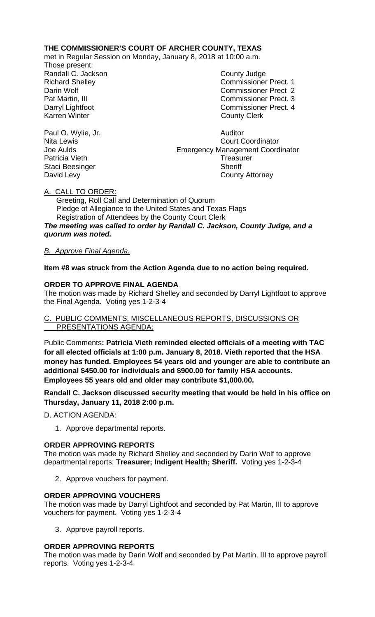## **THE COMMISSIONER'S COURT OF ARCHER COUNTY, TEXAS**

met in Regular Session on Monday, January 8, 2018 at 10:00 a.m.

Those present: Randall C. Jackson County Judge

Richard Shelley **Commissioner Prect. 1** Darin Wolf Commissioner Prect 2 Pat Martin, III Commissioner Prect. 3 Darryl Lightfoot **Commissioner Prect. 4**<br>
Karren Winter **County County Clerk County Clerk** 

Paul O. Wylie, Jr. (2008) 2008 - Auditor Nita Lewis Court Court Court Court Court Court Court Court Court Court Court Court Court Court Court Court Court Court Court Court Court Court Court Court Court Court Court Court Co **Court Coordinator** Joe Aulds Emergency Management Coordinator Patricia Vieth Treasurer Staci Beesinger Sheriff David Levy **County Attorney** 

### A. CALL TO ORDER:

 Greeting, Roll Call and Determination of Quorum Pledge of Allegiance to the United States and Texas Flags Registration of Attendees by the County Court Clerk *The meeting was called to order by Randall C. Jackson, County Judge, and a quorum was noted.*

### *B. Approve Final Agenda.*

### **Item #8 was struck from the Action Agenda due to no action being required.**

### **ORDER TO APPROVE FINAL AGENDA**

The motion was made by Richard Shelley and seconded by Darryl Lightfoot to approve the Final Agenda. Voting yes 1-2-3-4

#### C. PUBLIC COMMENTS, MISCELLANEOUS REPORTS, DISCUSSIONS OR PRESENTATIONS AGENDA:

Public Comments**: Patricia Vieth reminded elected officials of a meeting with TAC for all elected officials at 1:00 p.m. January 8, 2018. Vieth reported that the HSA money has funded. Employees 54 years old and younger are able to contribute an additional \$450.00 for individuals and \$900.00 for family HSA accounts. Employees 55 years old and older may contribute \$1,000.00.**

**Randall C. Jackson discussed security meeting that would be held in his office on Thursday, January 11, 2018 2:00 p.m.**

D. ACTION AGENDA:

1. Approve departmental reports.

### **ORDER APPROVING REPORTS**

The motion was made by Richard Shelley and seconded by Darin Wolf to approve departmental reports: **Treasurer; Indigent Health; Sheriff.** Voting yes 1-2-3-4

2. Approve vouchers for payment.

### **ORDER APPROVING VOUCHERS**

The motion was made by Darryl Lightfoot and seconded by Pat Martin, III to approve vouchers for payment. Voting yes 1-2-3-4

3. Approve payroll reports.

### **ORDER APPROVING REPORTS**

The motion was made by Darin Wolf and seconded by Pat Martin, III to approve payroll reports. Voting yes 1-2-3-4